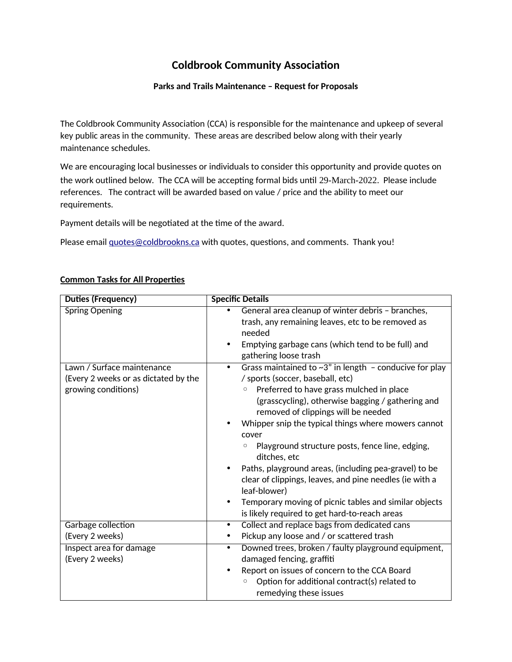# **Coldbrook Community Association**

#### **Parks and Trails Maintenance – Request for Proposals**

The Coldbrook Community Association (CCA) is responsible for the maintenance and upkeep of several key public areas in the community. These areas are described below along with their yearly maintenance schedules.

We are encouraging local businesses or individuals to consider this opportunity and provide quotes on the work outlined below. The CCA will be accepting formal bids until 29-March-2022. Please include references. The contract will be awarded based on value / price and the ability to meet our requirements.

Payment details will be negotiated at the time of the award.

Please email *quotes@coldbrookns.ca* with quotes, questions, and comments. Thank you!

| Duties (Frequency)                   | <b>Specific Details</b>                                                    |
|--------------------------------------|----------------------------------------------------------------------------|
| <b>Spring Opening</b>                | General area cleanup of winter debris - branches,<br>٠                     |
|                                      | trash, any remaining leaves, etc to be removed as                          |
|                                      | needed                                                                     |
|                                      | Emptying garbage cans (which tend to be full) and                          |
|                                      | gathering loose trash                                                      |
| Lawn / Surface maintenance           | Grass maintained to $\sim 3$ " in length - conducive for play<br>$\bullet$ |
| (Every 2 weeks or as dictated by the | / sports (soccer, baseball, etc)                                           |
| growing conditions)                  | Preferred to have grass mulched in place<br>$\circ$                        |
|                                      | (grasscycling), otherwise bagging / gathering and                          |
|                                      | removed of clippings will be needed                                        |
|                                      | Whipper snip the typical things where mowers cannot                        |
|                                      | cover                                                                      |
|                                      | Playground structure posts, fence line, edging,<br>$\circ$<br>ditches, etc |
|                                      | Paths, playground areas, (including pea-gravel) to be                      |
|                                      | clear of clippings, leaves, and pine needles (ie with a                    |
|                                      | leaf-blower)                                                               |
|                                      | Temporary moving of picnic tables and similar objects                      |
|                                      | is likely required to get hard-to-reach areas                              |
| Garbage collection                   | Collect and replace bags from dedicated cans<br>$\bullet$                  |
| (Every 2 weeks)                      | Pickup any loose and / or scattered trash<br>$\bullet$                     |
| Inspect area for damage              | Downed trees, broken / faulty playground equipment,<br>$\bullet$           |
| (Every 2 weeks)                      | damaged fencing, graffiti                                                  |
|                                      | Report on issues of concern to the CCA Board<br>$\bullet$                  |
|                                      | Option for additional contract(s) related to<br>O                          |
|                                      | remedying these issues                                                     |

### **Common Tasks for All Properties**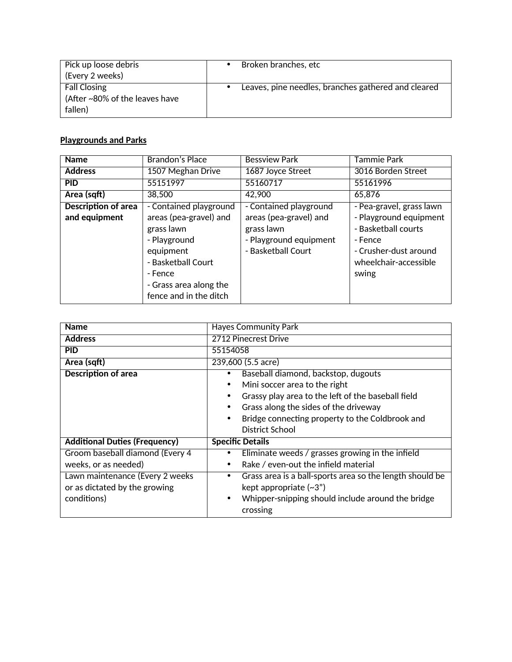| Pick up loose debris                                             | Broken branches, etc                                |
|------------------------------------------------------------------|-----------------------------------------------------|
| (Every 2 weeks)                                                  |                                                     |
| <b>Fall Closing</b><br>(After ~80% of the leaves have<br>fallen) | Leaves, pine needles, branches gathered and cleared |

# **Playgrounds and Parks**

| <b>Name</b>                | <b>Brandon's Place</b> | <b>Bessview Park</b>   | Tammie Park              |
|----------------------------|------------------------|------------------------|--------------------------|
| <b>Address</b>             | 1507 Meghan Drive      | 1687 Joyce Street      | 3016 Borden Street       |
| <b>PID</b>                 | 55151997               | 55160717               | 55161996                 |
| Area (sqft)                | 38,500                 | 42,900                 | 65,876                   |
| <b>Description of area</b> | - Contained playground | - Contained playground | - Pea-gravel, grass lawn |
| and equipment              | areas (pea-gravel) and | areas (pea-gravel) and | - Playground equipment   |
|                            | grass lawn             | grass lawn             | - Basketball courts      |
|                            | - Playground           | - Playground equipment | - Fence                  |
|                            | equipment              | - Basketball Court     | - Crusher-dust around    |
|                            | - Basketball Court     |                        | wheelchair-accessible    |
|                            | - Fence                |                        | swing                    |
|                            | - Grass area along the |                        |                          |
|                            | fence and in the ditch |                        |                          |

| <b>Name</b>                          | <b>Hayes Community Park</b>                                   |  |
|--------------------------------------|---------------------------------------------------------------|--|
| <b>Address</b>                       | 2712 Pinecrest Drive                                          |  |
| <b>PID</b>                           | 55154058                                                      |  |
| Area (sqft)                          | 239,600 (5.5 acre)                                            |  |
| <b>Description of area</b>           | Baseball diamond, backstop, dugouts<br>٠                      |  |
|                                      | Mini soccer area to the right<br>$\bullet$                    |  |
|                                      | Grassy play area to the left of the baseball field            |  |
|                                      | Grass along the sides of the driveway                         |  |
|                                      | Bridge connecting property to the Coldbrook and               |  |
|                                      | District School                                               |  |
| <b>Additional Duties (Frequency)</b> | <b>Specific Details</b>                                       |  |
| Groom baseball diamond (Every 4      | Eliminate weeds / grasses growing in the infield              |  |
| weeks, or as needed)                 | Rake / even-out the infield material<br>$\bullet$             |  |
| Lawn maintenance (Every 2 weeks      | Grass area is a ball-sports area so the length should be<br>٠ |  |
| or as dictated by the growing        | kept appropriate $(-3)$                                       |  |
| conditions)                          | Whipper-snipping should include around the bridge<br>٠        |  |
|                                      | crossing                                                      |  |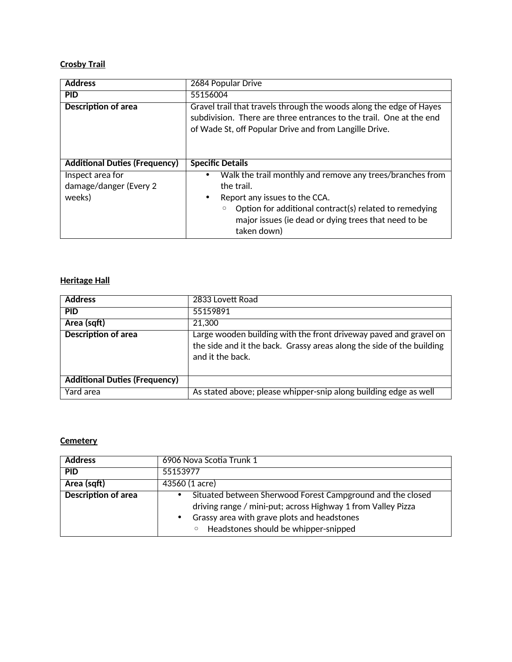## **Crosby Trail**

| <b>Address</b>                                       | 2684 Popular Drive                                                                                                                                                                                                                                        |
|------------------------------------------------------|-----------------------------------------------------------------------------------------------------------------------------------------------------------------------------------------------------------------------------------------------------------|
| <b>PID</b>                                           | 55156004                                                                                                                                                                                                                                                  |
| <b>Description of area</b>                           | Gravel trail that travels through the woods along the edge of Hayes<br>subdivision. There are three entrances to the trail. One at the end<br>of Wade St, off Popular Drive and from Langille Drive.                                                      |
| <b>Additional Duties (Frequency)</b>                 | <b>Specific Details</b>                                                                                                                                                                                                                                   |
| Inspect area for<br>damage/danger (Every 2<br>weeks) | Walk the trail monthly and remove any trees/branches from<br>the trail.<br>Report any issues to the CCA.<br>٠<br>Option for additional contract(s) related to remedying<br>$\circ$<br>major issues (ie dead or dying trees that need to be<br>taken down) |

## **Heritage Hall**

| <b>Address</b>                       | 2833 Lovett Road                                                                                                                                               |
|--------------------------------------|----------------------------------------------------------------------------------------------------------------------------------------------------------------|
| <b>PID</b>                           | 55159891                                                                                                                                                       |
| Area (sqft)                          | 21,300                                                                                                                                                         |
| <b>Description of area</b>           | Large wooden building with the front driveway paved and gravel on<br>the side and it the back. Grassy areas along the side of the building<br>and it the back. |
| <b>Additional Duties (Frequency)</b> |                                                                                                                                                                |
| Yard area                            | As stated above; please whipper-snip along building edge as well                                                                                               |

### **Cemetery**

| <b>Address</b>             | 6906 Nova Scotia Trunk 1                                                                                                                                                                                                     |
|----------------------------|------------------------------------------------------------------------------------------------------------------------------------------------------------------------------------------------------------------------------|
| <b>PID</b>                 | 55153977                                                                                                                                                                                                                     |
| Area (sqft)                | 43560 (1 acre)                                                                                                                                                                                                               |
| <b>Description of area</b> | Situated between Sherwood Forest Campground and the closed<br>driving range / mini-put; across Highway 1 from Valley Pizza<br>Grassy area with grave plots and headstones<br>Headstones should be whipper-snipped<br>$\circ$ |